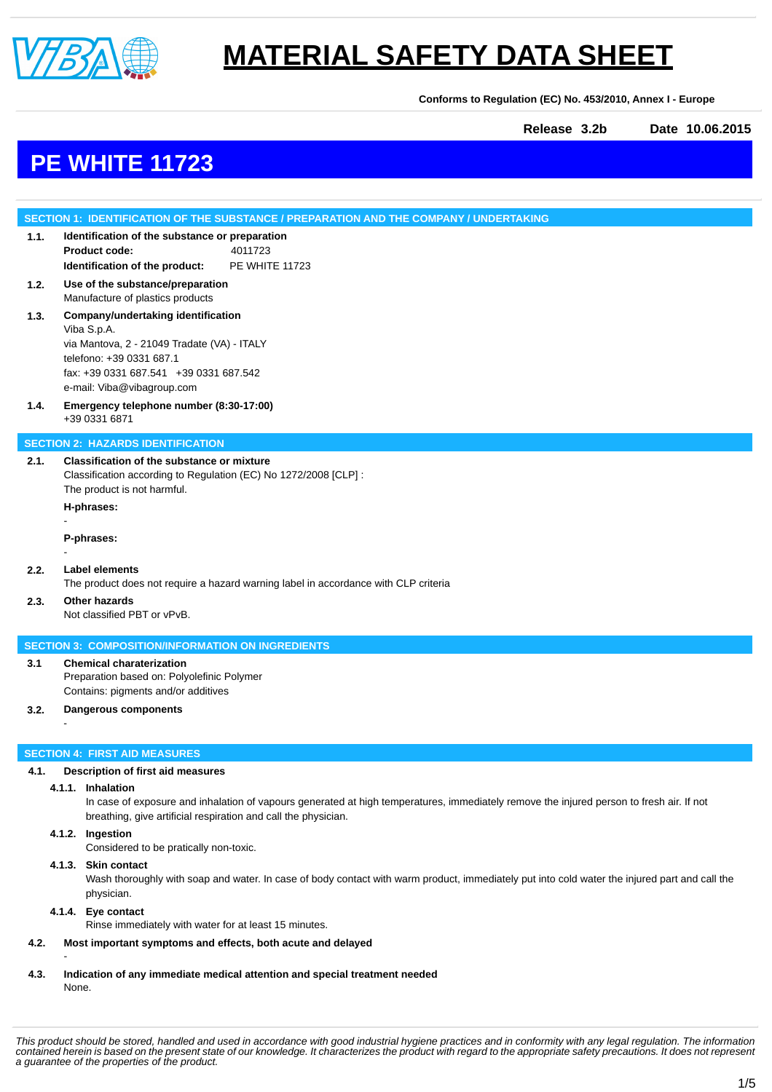

**Conforms to Regulation (EC) No. 453/2010, Annex I - Europe**

**Release 3.2b Date 10.06.2015**

# **PE WHITE 11723**

## **SECTION 1: IDENTIFICATION OF THE SUBSTANCE / PREPARATION AND THE COMPANY / UNDERTAKING 1.1. Identification of the substance or preparation Product code:** 4011723 **Identification of the product:** PE WHITE 11723 **1.2. Use of the substance/preparation** Manufacture of plastics products **1.3. Company/undertaking identification** Viba S.p.A. via Mantova, 2 - 21049 Tradate (VA) - ITALY telefono: +39 0331 687.1 fax: +39 0331 687.541 +39 0331 687.542 e-mail: Viba@vibagroup.com **1.4. Emergency telephone number (8:30-17:00)** +39 0331 6871 **SECTION 2: HAZARDS IDENTIFICATION 2.1. Classification of the substance or mixture** Classification according to Regulation (EC) No 1272/2008 [CLP] : The product is not harmful. **H-phrases:** - **P-phrases:** - **2.2. Label elements** The product does not require a hazard warning label in accordance with CLP criteria **2.3. Other hazards** Not classified PBT or vPvB. **SECTION 3: COMPOSITION/INFORMATION ON INGREDIENTS 3.1 Chemical charaterization** Preparation based on: Polyolefinic Polymer Contains: pigments and/or additives **3.2. Dangerous components** - **SECTION 4: FIRST AID MEASURES 4.1. Description of first aid measures 4.1.1. Inhalation** In case of exposure and inhalation of vapours generated at high temperatures, immediately remove the injured person to fresh air. If not breathing, give artificial respiration and call the physician.

#### **4.1.2. Ingestion**

Considered to be pratically non-toxic.

#### **4.1.3. Skin contact**

Wash thoroughly with soap and water. In case of body contact with warm product, immediately put into cold water the injured part and call the physician.

#### **4.1.4. Eye contact**

-

Rinse immediately with water for at least 15 minutes.

- **4.2. Most important symptoms and effects, both acute and delayed**
- **4.3. Indication of any immediate medical attention and special treatment needed** None.

*This product should be stored, handled and used in accordance with good industrial hygiene practices and in conformity with any legal regulation. The information contained herein is based on the present state of our knowledge. It characterizes the product with regard to the appropriate safety precautions. It does not represent a guarantee of the properties of the product.*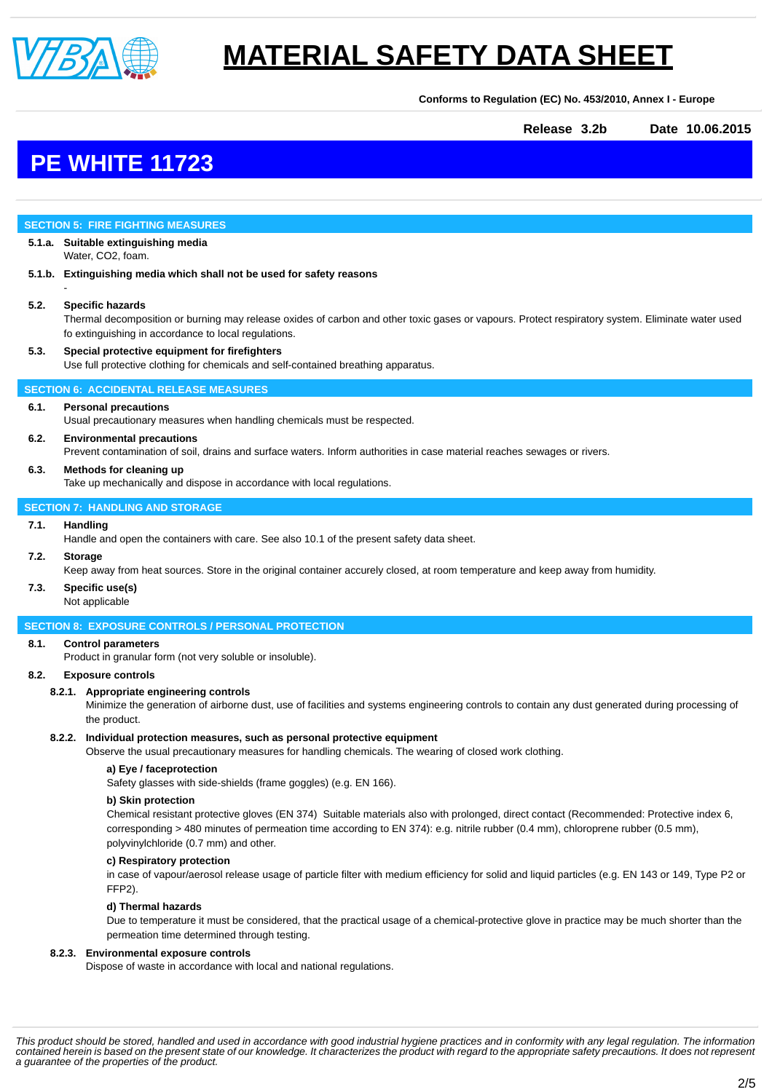

**Conforms to Regulation (EC) No. 453/2010, Annex I - Europe**

**Release 3.2b Date 10.06.2015**

## **PE WHITE 11723**

### **SECTION 5: FIRE FIGHTING MEASURES**

**5.1.a. Suitable extinguishing media** Water, CO2, foam.

**5.1.b. Extinguishing media which shall not be used for safety reasons**

#### **5.2. Specific hazards**

-

Thermal decomposition or burning may release oxides of carbon and other toxic gases or vapours. Protect respiratory system. Eliminate water used fo extinguishing in accordance to local regulations.

#### **5.3. Special protective equipment for firefighters** Use full protective clothing for chemicals and self-contained breathing apparatus.

#### **SECTION 6: ACCIDENTAL RELEASE MEASURES**

#### **6.1. Personal precautions**

Usual precautionary measures when handling chemicals must be respected.

### **6.2. Environmental precautions**

Prevent contamination of soil, drains and surface waters. Inform authorities in case material reaches sewages or rivers.

#### **6.3. Methods for cleaning up**

Take up mechanically and dispose in accordance with local regulations.

#### **SECTION 7: HANDLING AND STORAGE**

#### **7.1. Handling**

Handle and open the containers with care. See also 10.1 of the present safety data sheet.

#### **7.2. Storage**

Keep away from heat sources. Store in the original container accurely closed, at room temperature and keep away from humidity.

## **7.3. Specific use(s)**

Not applicable

#### **SECTION 8: EXPOSURE CONTROLS / PERSONAL PROTECTION**

#### **8.1. Control parameters**

Product in granular form (not very soluble or insoluble).

#### **8.2. Exposure controls**

#### **8.2.1. Appropriate engineering controls**

Minimize the generation of airborne dust, use of facilities and systems engineering controls to contain any dust generated during processing of the product.

#### **8.2.2. Individual protection measures, such as personal protective equipment**

Observe the usual precautionary measures for handling chemicals. The wearing of closed work clothing.

### **a) Eye / faceprotection**

Safety glasses with side-shields (frame goggles) (e.g. EN 166).

#### **b) Skin protection**

Chemical resistant protective gloves (EN 374) Suitable materials also with prolonged, direct contact (Recommended: Protective index 6, corresponding > 480 minutes of permeation time according to EN 374): e.g. nitrile rubber (0.4 mm), chloroprene rubber (0.5 mm), polyvinylchloride (0.7 mm) and other.

#### **c) Respiratory protection**

in case of vapour/aerosol release usage of particle filter with medium efficiency for solid and liquid particles (e.g. EN 143 or 149, Type P2 or FFP2).

#### **d) Thermal hazards**

Due to temperature it must be considered, that the practical usage of a chemical-protective glove in practice may be much shorter than the permeation time determined through testing.

#### **8.2.3. Environmental exposure controls**

Dispose of waste in accordance with local and national regulations.

*This product should be stored, handled and used in accordance with good industrial hygiene practices and in conformity with any legal regulation. The information contained herein is based on the present state of our knowledge. It characterizes the product with regard to the appropriate safety precautions. It does not represent a guarantee of the properties of the product.*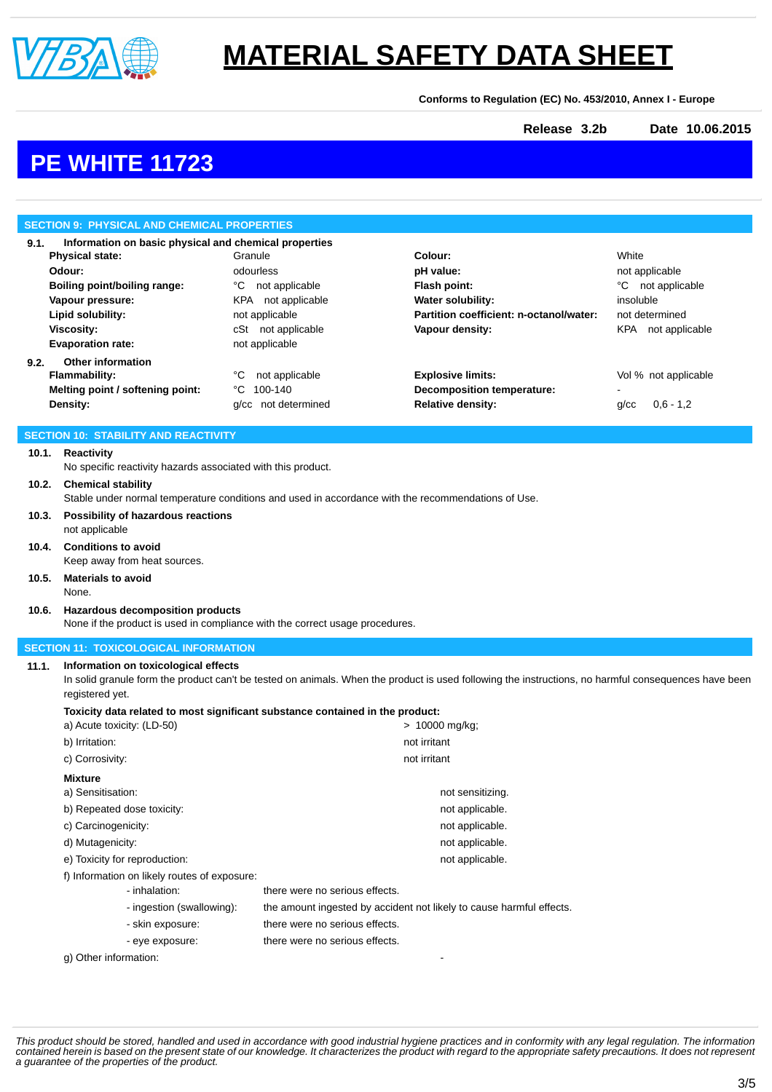

**Conforms to Regulation (EC) No. 453/2010, Annex I - Europe**

**Release 3.2b Date 10.06.2015**

# **PE WHITE 11723**

| <b>SECTION 9: PHYSICAL AND CHEMICAL PROPERTIES</b>            |                                                                                                                                 |                                      |                                                                                                                                                      |                           |  |
|---------------------------------------------------------------|---------------------------------------------------------------------------------------------------------------------------------|--------------------------------------|------------------------------------------------------------------------------------------------------------------------------------------------------|---------------------------|--|
| 9.1.<br>Information on basic physical and chemical properties |                                                                                                                                 |                                      |                                                                                                                                                      |                           |  |
|                                                               | <b>Physical state:</b>                                                                                                          | Granule                              | Colour:                                                                                                                                              | White                     |  |
|                                                               | Odour:                                                                                                                          | odourless                            | pH value:                                                                                                                                            | not applicable            |  |
|                                                               | Boiling point/boiling range:                                                                                                    | °C not applicable                    | Flash point:                                                                                                                                         | °C not applicable         |  |
|                                                               | Vapour pressure:                                                                                                                | KPA not applicable                   | Water solubility:                                                                                                                                    | insoluble                 |  |
|                                                               | Lipid solubility:                                                                                                               | not applicable                       | Partition coefficient: n-octanol/water:                                                                                                              | not determined            |  |
|                                                               | <b>Viscosity:</b><br><b>Evaporation rate:</b>                                                                                   | cSt not applicable<br>not applicable | Vapour density:                                                                                                                                      | KPA not applicable        |  |
|                                                               | <b>Other information</b>                                                                                                        |                                      |                                                                                                                                                      |                           |  |
| 9.2.                                                          | <b>Flammability:</b>                                                                                                            | not applicable<br>°C                 | <b>Explosive limits:</b>                                                                                                                             | Vol % not applicable      |  |
|                                                               | Melting point / softening point:                                                                                                | °C<br>100-140                        | Decomposition temperature:                                                                                                                           |                           |  |
|                                                               | Density:                                                                                                                        | g/cc not determined                  | <b>Relative density:</b>                                                                                                                             | $0,6 - 1,2$<br>$q$ / $cc$ |  |
|                                                               |                                                                                                                                 |                                      |                                                                                                                                                      |                           |  |
|                                                               | <b>SECTION 10: STABILITY AND REACTIVITY</b>                                                                                     |                                      |                                                                                                                                                      |                           |  |
| 10.1.                                                         | Reactivity                                                                                                                      |                                      |                                                                                                                                                      |                           |  |
|                                                               | No specific reactivity hazards associated with this product.                                                                    |                                      |                                                                                                                                                      |                           |  |
| 10.2.                                                         | <b>Chemical stability</b><br>Stable under normal temperature conditions and used in accordance with the recommendations of Use. |                                      |                                                                                                                                                      |                           |  |
| 10.3.                                                         | Possibility of hazardous reactions<br>not applicable                                                                            |                                      |                                                                                                                                                      |                           |  |
| 10.4.                                                         | <b>Conditions to avoid</b><br>Keep away from heat sources.                                                                      |                                      |                                                                                                                                                      |                           |  |
| 10.5.                                                         | <b>Materials to avoid</b>                                                                                                       |                                      |                                                                                                                                                      |                           |  |
|                                                               | None.                                                                                                                           |                                      |                                                                                                                                                      |                           |  |
|                                                               |                                                                                                                                 |                                      |                                                                                                                                                      |                           |  |
| 10.6.                                                         | Hazardous decomposition products<br>None if the product is used in compliance with the correct usage procedures.                |                                      |                                                                                                                                                      |                           |  |
|                                                               | <b>SECTION 11: TOXICOLOGICAL INFORMATION</b>                                                                                    |                                      |                                                                                                                                                      |                           |  |
| 11.1.                                                         | Information on toxicological effects                                                                                            |                                      | In solid granule form the product can't be tested on animals. When the product is used following the instructions, no harmful consequences have been |                           |  |
|                                                               | registered yet.<br>Toxicity data related to most significant substance contained in the product:                                |                                      |                                                                                                                                                      |                           |  |
|                                                               | a) Acute toxicity: (LD-50)                                                                                                      |                                      | > 10000 mg/kg;                                                                                                                                       |                           |  |
|                                                               | b) Irritation:                                                                                                                  |                                      | not irritant                                                                                                                                         |                           |  |
|                                                               | c) Corrosivity:                                                                                                                 |                                      | not irritant                                                                                                                                         |                           |  |
|                                                               | <b>Mixture</b>                                                                                                                  |                                      |                                                                                                                                                      |                           |  |
|                                                               | a) Sensitisation:                                                                                                               |                                      | not sensitizing.                                                                                                                                     |                           |  |
|                                                               | b) Repeated dose toxicity:                                                                                                      |                                      | not applicable.                                                                                                                                      |                           |  |
|                                                               | c) Carcinogenicity:                                                                                                             |                                      | not applicable.                                                                                                                                      |                           |  |
|                                                               | d) Mutagenicity:                                                                                                                |                                      | not applicable.<br>not applicable.                                                                                                                   |                           |  |
|                                                               | e) Toxicity for reproduction:<br>f) Information on likely routes of exposure:                                                   |                                      |                                                                                                                                                      |                           |  |
|                                                               | - inhalation:                                                                                                                   | there were no serious effects.       |                                                                                                                                                      |                           |  |
|                                                               | - ingestion (swallowing):                                                                                                       |                                      | the amount ingested by accident not likely to cause harmful effects.                                                                                 |                           |  |
|                                                               | - skin exposure:                                                                                                                | there were no serious effects.       |                                                                                                                                                      |                           |  |
|                                                               | - eye exposure:                                                                                                                 | there were no serious effects.       |                                                                                                                                                      |                           |  |
|                                                               | g) Other information:                                                                                                           |                                      |                                                                                                                                                      |                           |  |

This product should be stored, handled and used in accordance with good industrial hygiene practices and in conformity with any legal regulation. The information<br>contained herein is based on the present state of our knowle *a guarantee of the properties of the product.*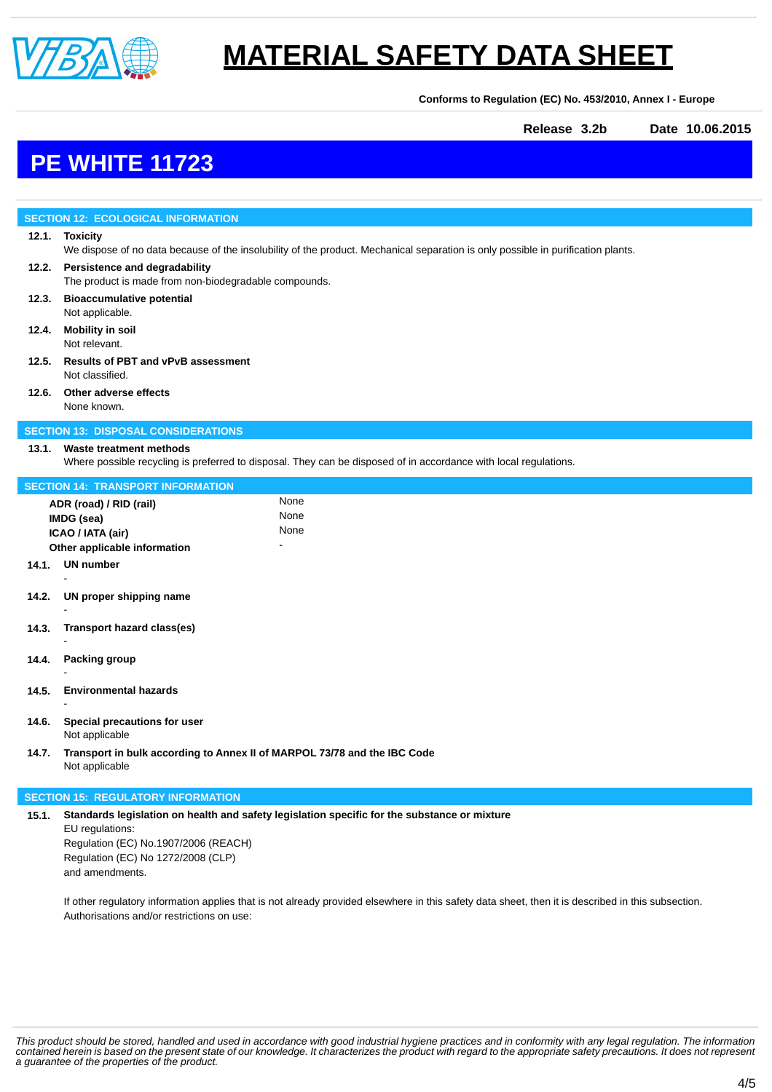

**Conforms to Regulation (EC) No. 453/2010, Annex I - Europe**

**Release 3.2b Date 10.06.2015**

# **PE WHITE 11723**

|                                           | <b>SECTION 12: ECOLOGICAL INFORMATION</b>                                                                                                          |      |  |  |  |
|-------------------------------------------|----------------------------------------------------------------------------------------------------------------------------------------------------|------|--|--|--|
|                                           | 12.1. Toxicity<br>We dispose of no data because of the insolubility of the product. Mechanical separation is only possible in purification plants. |      |  |  |  |
| 12.2.                                     | Persistence and degradability<br>The product is made from non-biodegradable compounds.                                                             |      |  |  |  |
| 12.3.                                     | <b>Bioaccumulative potential</b><br>Not applicable.                                                                                                |      |  |  |  |
| 12.4.                                     | <b>Mobility in soil</b><br>Not relevant.                                                                                                           |      |  |  |  |
| 12.5.                                     | Results of PBT and vPvB assessment<br>Not classified.                                                                                              |      |  |  |  |
| 12.6.                                     | Other adverse effects<br>None known.                                                                                                               |      |  |  |  |
|                                           | <b>SECTION 13: DISPOSAL CONSIDERATIONS</b>                                                                                                         |      |  |  |  |
| 13.1.                                     | <b>Waste treatment methods</b>                                                                                                                     |      |  |  |  |
|                                           | Where possible recycling is preferred to disposal. They can be disposed of in accordance with local regulations.                                   |      |  |  |  |
| <b>SECTION 14: TRANSPORT INFORMATION</b>  |                                                                                                                                                    |      |  |  |  |
|                                           | ADR (road) / RID (rail)                                                                                                                            | None |  |  |  |
|                                           | IMDG (sea)                                                                                                                                         | None |  |  |  |
|                                           | ICAO / IATA (air)                                                                                                                                  | None |  |  |  |
|                                           | Other applicable information                                                                                                                       |      |  |  |  |
| 14.1.                                     | <b>UN number</b>                                                                                                                                   |      |  |  |  |
| 14.2.                                     | UN proper shipping name                                                                                                                            |      |  |  |  |
| 14.3.                                     | Transport hazard class(es)                                                                                                                         |      |  |  |  |
| 14.4.                                     | Packing group                                                                                                                                      |      |  |  |  |
| 14.5.                                     | <b>Environmental hazards</b>                                                                                                                       |      |  |  |  |
| 14.6.                                     | Special precautions for user<br>Not applicable                                                                                                     |      |  |  |  |
| 14.7.                                     | Transport in bulk according to Annex II of MARPOL 73/78 and the IBC Code<br>Not applicable                                                         |      |  |  |  |
| <b>SECTION 15: REGULATORY INFORMATION</b> |                                                                                                                                                    |      |  |  |  |
| 15.1.                                     | Standards legislation on health and safety legislation specific for the substance or mixture                                                       |      |  |  |  |

EU regulations: Regulation (EC) No.1907/2006 (REACH) Regulation (EC) No 1272/2008 (CLP) and amendments.

If other regulatory information applies that is not already provided elsewhere in this safety data sheet, then it is described in this subsection. Authorisations and/or restrictions on use:

This product should be stored, handled and used in accordance with good industrial hygiene practices and in conformity with any legal regulation. The information<br>contained herein is based on the present state of our knowle *a guarantee of the properties of the product.*